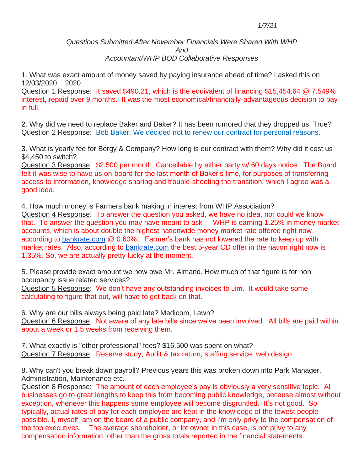## *1/7/21*

## *Questions Submitted After November Financials Were Shared With WHP And Accountant/WHP BOD Collaborative Responses*

1. What was exact amount of money saved by paying insurance ahead of time? I asked this on 12/03/2020 2020

Question 1 Response: It saved \$490.21, which is the equivalent of financing \$15,454.64 @ 7.549% interest, repaid over 9 months. It was the most economical/financially-advantageous decision to pay in full.

2. Why did we need to replace Baker and Baker? It has been rumored that they dropped us. True? Question 2 Response: Bob Baker: We decided not to renew our contract for personal reasons.

3. What is yearly fee for Bergy & Company? How long is our contract with them? Why did it cost us \$4,450 to switch?

Question 3 Response: \$2,500 per month. Cancellable by either party w/ 60 days notice. The Board felt it was wise to have us on-board for the last month of Baker's time, for purposes of transferring access to information, knowledge sharing and trouble-shooting the transition, which I agree was a good idea.

4. How much money is Farmers bank making in interest from WHP Association? Question 4 Response: To answer the question you asked, we have no idea, nor could we know that. To answer the question you may have meant to ask - WHP is earning 1.25% in money market accounts, which is about double the highest nationwide money market rate offered right now according to [bankrate.com](about:blank) @ 0.60%. Farmer's bank has not lowered the rate to keep up with market rates. Also, according to [bankrate.com](about:blank) the best 5-year CD offer in the nation right now is 1.35%. So, we are actually pretty lucky at the moment.

5. Please provide exact amount we now owe Mr. Almand. How much of that figure is for non occupancy issue related services?

Question 5 Response: We don't have any outstanding invoices to Jim. It would take some calculating to figure that out, will have to get back on that.

6. Why are our bills always being paid late? Medicom, Lawn? Question 6 Response: Not aware of any late bills since we've been involved. All bills are paid within about a week or 1.5 weeks from receiving them.

7. What exactly is "other professional" fees? \$16,500 was spent on what? Question 7 Response: Reserve study, Audit & tax return, staffing service, web design

8. Why can't you break down payroll? Previous years this was broken down into Park Manager, Administration, Maintenance etc.

Question 8 Response: The amount of each employee's pay is obviously a very sensitive topic. All businesses go to great lengths to keep this from becoming public knowledge, because almost without exception, whenever this happens some employee will become disgruntled. It's not good. So typically, actual rates of pay for each employee are kept in the knowledge of the fewest people possible. I, myself, am on the board of a public company, and I'm only privy to the compensation of the top executives. The average shareholder, or lot owner in this case, is not privy to any compensation information, other than the gross totals reported in the financial statements.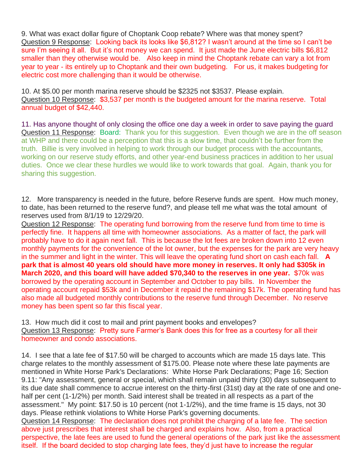9. What was exact dollar figure of Choptank Coop rebate? Where was that money spent? Question 9 Response: Looking back its looks like \$6,812? I wasn't around at the time so I can't be sure I'm seeing it all. But it's not money we can spend. It just made the June electric bills \$6,812 smaller than they otherwise would be. Also keep in mind the Choptank rebate can vary a lot from year to year - its entirely up to Choptank and their own budgeting. For us, it makes budgeting for electric cost more challenging than it would be otherwise.

10. At \$5.00 per month marina reserve should be \$2325 not \$3537. Please explain. Question 10 Response: \$3,537 per month is the budgeted amount for the marina reserve. Total annual budget of \$42,440.

11. Has anyone thought of only closing the office one day a week in order to save paying the guard Question 11 Response: Board: Thank you for this suggestion. Even though we are in the off season at WHP and there could be a perception that this is a slow time, that couldn't be further from the truth. Billie is very involved in helping to work through our budget process with the accountants, working on our reserve study efforts, and other year-end business practices in addition to her usual duties. Once we clear these hurdles we would like to work towards that goal. Again, thank you for sharing this suggestion.

12. More transparency is needed in the future, before Reserve funds are spent. How much money, to date, has been returned to the reserve fund?, and please tell me what was the total amount of reserves used from 8/1/19 to 12/29/20.

Question 12 Response: The operating fund borrowing from the reserve fund from time to time is perfectly fine. It happens all time with homeowner associations. As a matter of fact, the park will probably have to do it again next fall. This is because the lot fees are broken down into 12 even monthly payments for the convenience of the lot owner, but the expenses for the park are very heavy in the summer and light in the winter. This will leave the operating fund short on cash each fall. **A park that is almost 40 years old should have more money in reserves. It only had \$305k in March 2020, and this board will have added \$70,340 to the reserves in one year.** \$70k was borrowed by the operating account in September and October to pay bills. In November the operating account repaid \$53k and in December it repaid the remaining \$17k. The operating fund has also made all budgeted monthly contributions to the reserve fund through December. No reserve money has been spent so far this fiscal year.

13. How much did it cost to mail and print payment books and envelopes? Question 13 Response: Pretty sure Farmer's Bank does this for free as a courtesy for all their homeowner and condo associations.

14. I see that a late fee of \$17.50 will be charged to accounts which are made 15 days late. This charge relates to the monthly assessment of \$175.00. Please note where these late payments are mentioned in White Horse Park's Declarations: White Horse Park Declarations; Page 16; Section 9.11: "Any assessment, general or special, which shall remain unpaid thirty (30) days subsequent to its due date shall commence to accrue interest on the thirty-first (31st) day at the rate of one and onehalf per cent (1-1/2%) per month. Said interest shall be treated in all respects as a part of the assessment." My point: \$17.50 is 10 percent (not 1-1/2%), and the time frame is 15 days, not 30 days. Please rethink violations to White Horse Park's governing documents.

Question 14 Response: The declaration does not prohibit the charging of a late fee. The section above just prescribes that interest shall be charged and explains how. Also, from a practical perspective, the late fees are used to fund the general operations of the park just like the assessment itself. If the board decided to stop charging late fees, they'd just have to increase the regular